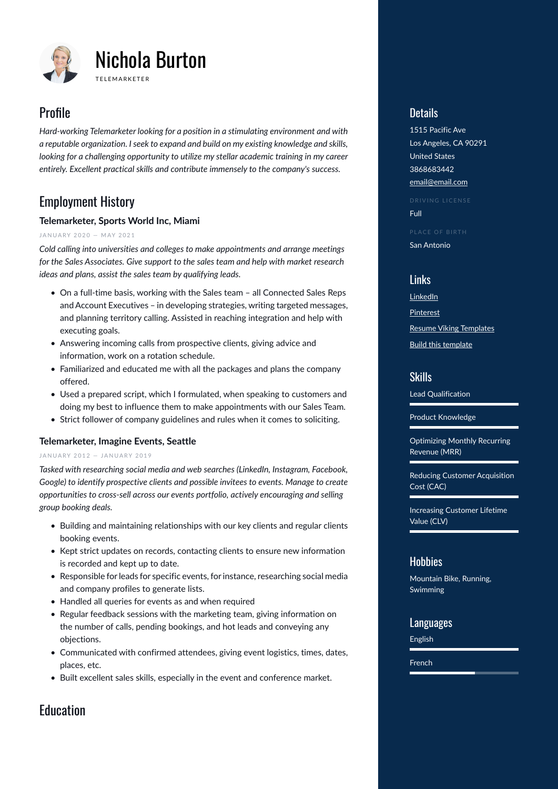

# **Profile**

*Hard-working Telemarketer looking for a position in a stimulating environment and with a reputable organization. I seek to expand and build on my existing knowledge and skills, looking for a challenging opportunity to utilize my stellar academic training in my career entirely. Excellent practical skills and contribute immensely to the company's success.*

# Employment History

#### **Telemarketer, Sports World Inc, Miami**

#### JANUARY 2020 - MAY 2021

*Cold calling into universities and colleges to make appointments and arrange meetings for the Sales Associates. Give support to the sales team and help with market research ideas and plans, assist the sales team by qualifying leads.*

- On a full-time basis, working with the Sales team all Connected Sales Reps and Account Executives – in developing strategies, writing targeted messages, and planning territory calling. Assisted in reaching integration and help with executing goals.
- Answering incoming calls from prospective clients, giving advice and information, work on a rotation schedule.
- Familiarized and educated me with all the packages and plans the company offered.
- Used a prepared script, which I formulated, when speaking to customers and doing my best to influence them to make appointments with our Sales Team.
- Strict follower of company guidelines and rules when it comes to soliciting.

#### **Telemarketer, Imagine Events, Seattle**

JANUARY 2012 - JANUARY 2019

*Tasked with researching social media and web searches (LinkedIn, Instagram, Facebook, Google) to identify prospective clients and possible invitees to events. Manage to create opportunities to cross-sell across our events portfolio, actively encouraging and selling group booking deals.*

- Building and maintaining relationships with our key clients and regular clients booking events.
- Kept strict updates on records, contacting clients to ensure new information is recorded and kept up to date.
- Responsible for leads for specific events, for instance, researching social media and company profiles to generate lists.
- Handled all queries for events as and when required
- Regular feedback sessions with the marketing team, giving information on the number of calls, pending bookings, and hot leads and conveying any objections.
- Communicated with confirmed attendees, giving event logistics, times, dates, places, etc.
- Built excellent sales skills, especially in the event and conference market.

### **Details**

1515 Pacific Ave Los Angeles, CA 90291 United States 3868683442 [email@email.com](mailto:email@email.com)

Full

San Antonio

#### Links

[LinkedIn](https://www.linkedin.com/) **[Pinterest](https://www.pinterest.es/resumeviking/)** [Resume Viking Templates](https://www.resumeviking.com/templates/word/) [Build this template](https://resume.io/?id=cpdokyF1)

#### **Skills**

Lead Qualification

Product Knowledge

Optimizing Monthly Recurring Revenue (MRR)

Reducing Customer Acquisition Cost (CAC)

Increasing Customer Lifetime Value (CLV)

#### Hobbies

Mountain Bike, Running, Swimming

#### Languages

English

French

## Education